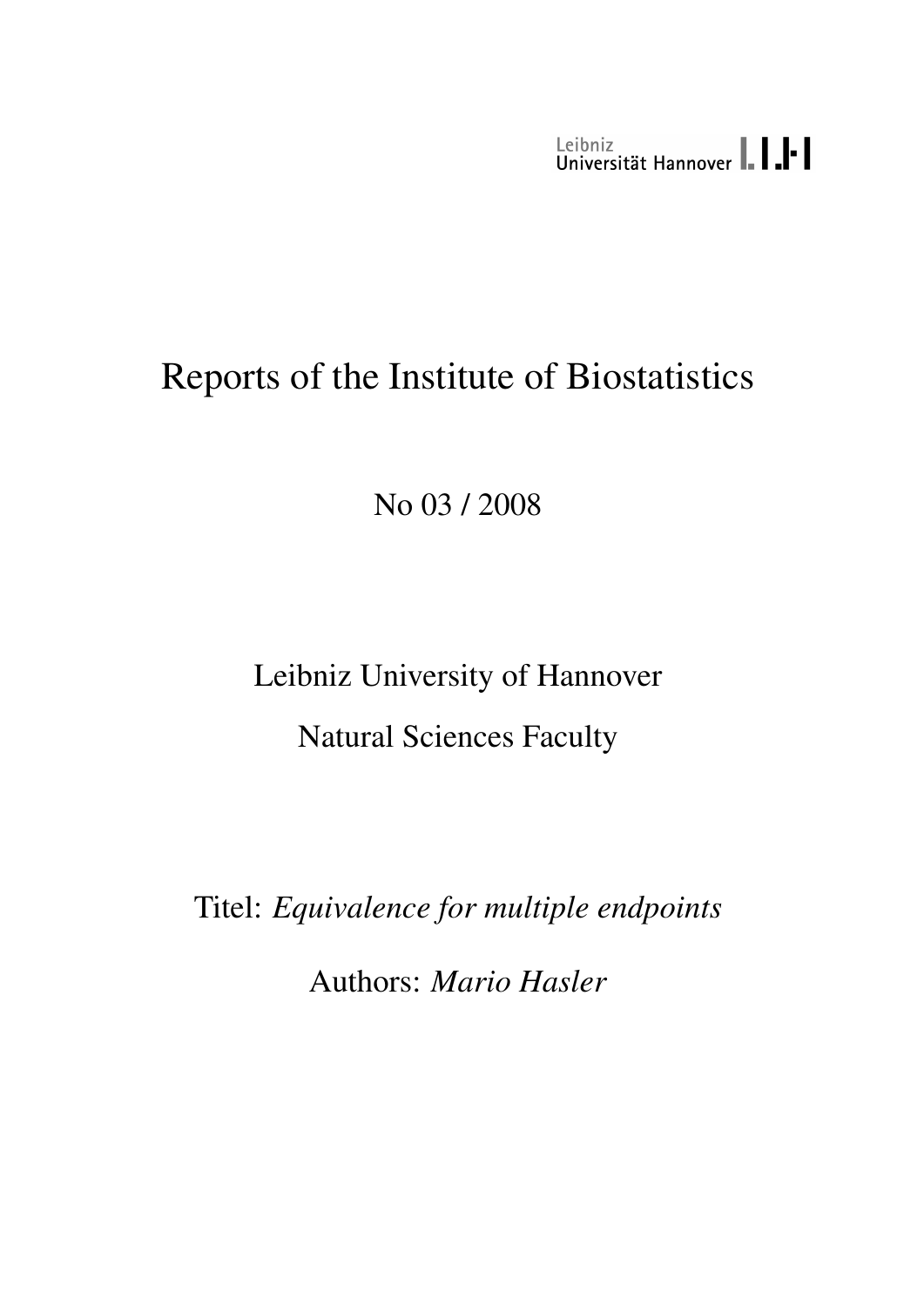Leibniz<br>Universität Hannover | | | | |

# Reports of the Institute of Biostatistics

No 03 / 2008

Leibniz University of Hannover Natural Sciences Faculty

Titel: *Equivalence for multiple endpoints*

Authors: *Mario Hasler*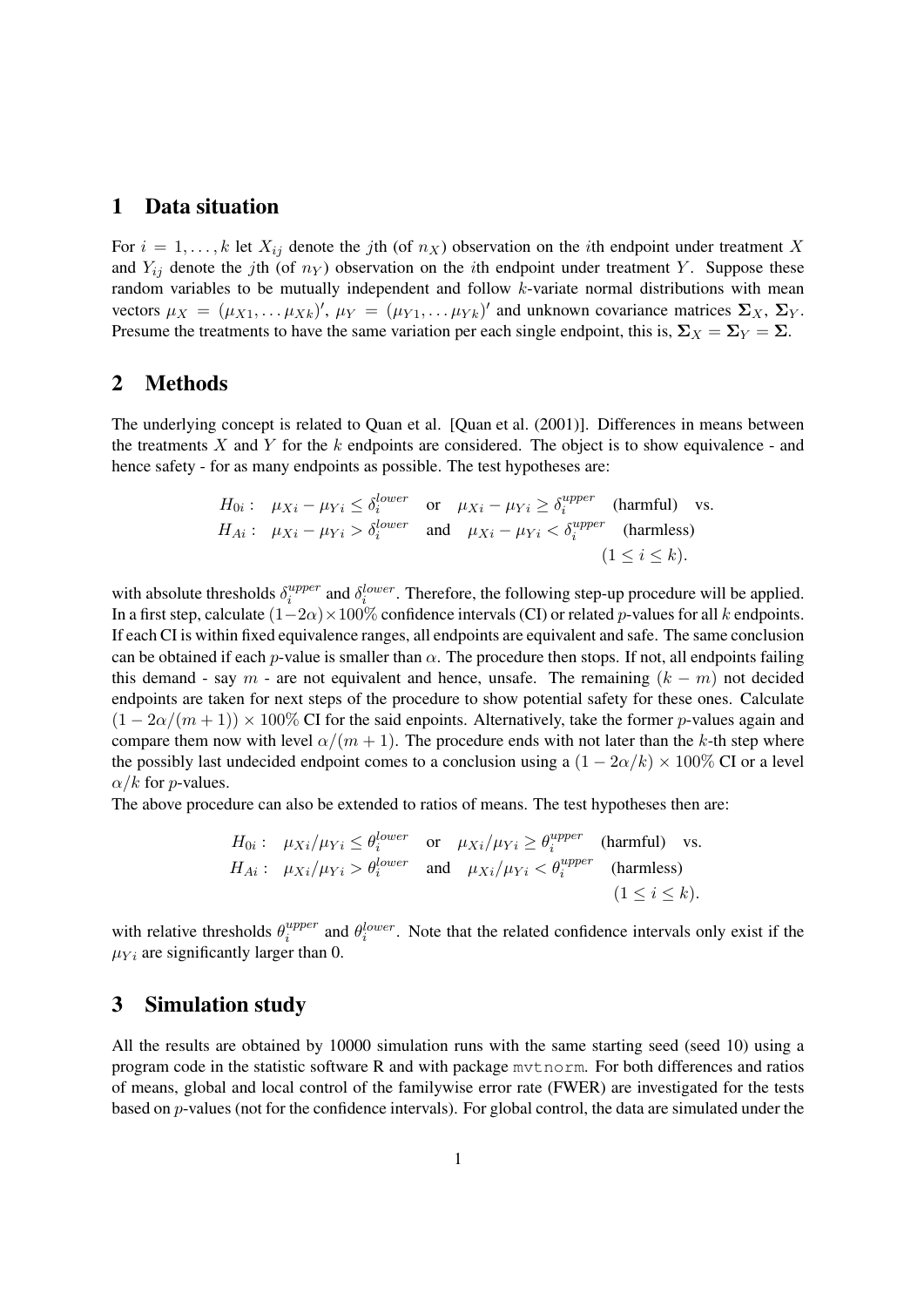### 1 Data situation

For  $i = 1, ..., k$  let  $X_{ij}$  denote the jth (of  $n_X$ ) observation on the *i*th endpoint under treatment X and  $Y_{ij}$  denote the jth (of  $n<sub>Y</sub>$ ) observation on the ith endpoint under treatment Y. Suppose these random variables to be mutually independent and follow k-variate normal distributions with mean vectors  $\mu_X = (\mu_{X1}, \dots \mu_{Xk})'$ ,  $\mu_Y = (\mu_{Y1}, \dots \mu_{Yk})'$  and unknown covariance matrices  $\Sigma_X$ ,  $\Sigma_Y$ . Presume the treatments to have the same variation per each single endpoint, this is,  $\Sigma_X = \Sigma_Y = \Sigma$ .

## 2 Methods

The underlying concept is related to Quan et al. [Quan et al. (2001)]. Differences in means between the treatments X and Y for the k endpoints are considered. The object is to show equivalence - and hence safety - for as many endpoints as possible. The test hypotheses are:

$$
H_{0i}: \mu_{Xi} - \mu_{Yi} \le \delta_i^{lower} \quad \text{or} \quad \mu_{Xi} - \mu_{Yi} \ge \delta_i^{upper} \quad \text{(harmful)} \quad \text{vs.}
$$
\n
$$
H_{Ai}: \mu_{Xi} - \mu_{Yi} > \delta_i^{lower} \quad \text{and} \quad \mu_{Xi} - \mu_{Yi} < \delta_i^{upper} \quad \text{(harmless)} \quad (1 \le i \le k).
$$

with absolute thresholds  $\delta_i^{upper}$  $i^{upper}$  and  $\delta_i^{lower}$ . Therefore, the following step-up procedure will be applied. In a first step, calculate  $(1-2\alpha) \times 100\%$  confidence intervals (CI) or related p-values for all k endpoints. If each CI is within fixed equivalence ranges, all endpoints are equivalent and safe. The same conclusion can be obtained if each p-value is smaller than  $\alpha$ . The procedure then stops. If not, all endpoints failing this demand - say m - are not equivalent and hence, unsafe. The remaining  $(k - m)$  not decided endpoints are taken for next steps of the procedure to show potential safety for these ones. Calculate  $(1 - 2\alpha/(m + 1)) \times 100\%$  CI for the said enpoints. Alternatively, take the former p-values again and compare them now with level  $\alpha/(m+1)$ . The procedure ends with not later than the k-th step where the possibly last undecided endpoint comes to a conclusion using a  $(1 - 2\alpha/k) \times 100\%$  CI or a level  $\alpha/k$  for *p*-values.

The above procedure can also be extended to ratios of means. The test hypotheses then are:

$$
H_{0i}: \mu_{Xi}/\mu_{Yi} \le \theta_i^{lower} \quad \text{or} \quad \mu_{Xi}/\mu_{Yi} \ge \theta_i^{upper} \quad \text{(harmful)} \quad \text{vs.}
$$
\n
$$
H_{Ai}: \mu_{Xi}/\mu_{Yi} > \theta_i^{lower} \quad \text{and} \quad \mu_{Xi}/\mu_{Yi} < \theta_i^{upper} \quad \text{(harmless)} \quad (1 \le i \le k).
$$

with relative thresholds  $\theta_i^{upper}$  $i^{upper}$  and  $\theta_i^{lower}$ . Note that the related confidence intervals only exist if the  $\mu_{Y_i}$  are significantly larger than 0.

#### 3 Simulation study

All the results are obtained by 10000 simulation runs with the same starting seed (seed 10) using a program code in the statistic software R and with package mvtnorm. For both differences and ratios of means, global and local control of the familywise error rate (FWER) are investigated for the tests based on p-values (not for the confidence intervals). For global control, the data are simulated under the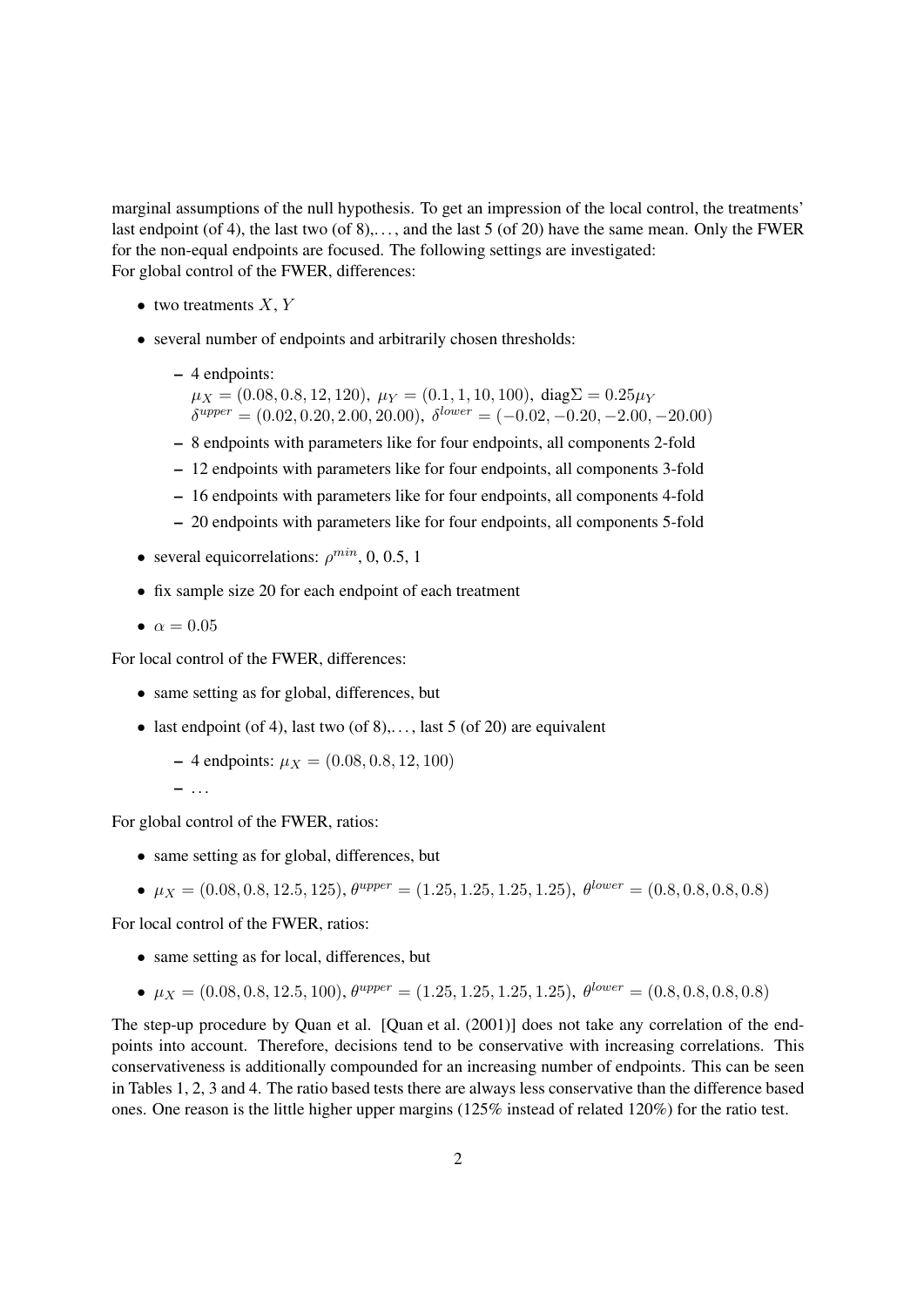marginal assumptions of the null hypothesis. To get an impression of the local control, the treatments' last endpoint (of 4), the last two (of 8),..., and the last 5 (of 20) have the same mean. Only the FWER for the non-equal endpoints are focused. The following settings are investigated: For global control of the FWER, differences:

- two treatments  $X, Y$
- several number of endpoints and arbitrarily chosen thresholds:
	- 4 endpoints:
		- $\mu_X = (0.08, 0.8, 12, 120), \mu_Y = (0.1, 1, 10, 100), \text{diag}\Sigma = 0.25\mu_Y$  $\delta^{upper} = (0.02, 0.20, 2.00, 20.00), \ \delta^{lower} = (-0.02, -0.20, -2.00, -20.00)$
	- 8 endpoints with parameters like for four endpoints, all components 2-fold
	- 12 endpoints with parameters like for four endpoints, all components 3-fold
	- 16 endpoints with parameters like for four endpoints, all components 4-fold
	- 20 endpoints with parameters like for four endpoints, all components 5-fold
- several equicorrelations:  $\rho^{min}$ , 0, 0.5, 1
- fix sample size 20 for each endpoint of each treatment
- $\alpha = 0.05$

For local control of the FWER, differences:

- same setting as for global, differences, but
- last endpoint (of 4), last two (of  $8$ ),..., last 5 (of 20) are equivalent
	- $-4$  endpoints:  $\mu_X = (0.08, 0.8, 12, 100)$

$$
= \ldots
$$

For global control of the FWER, ratios:

- same setting as for global, differences, but
- $\mu_X = (0.08, 0.8, 12.5, 125), \theta^{upper} = (1.25, 1.25, 1.25, 1.25), \theta^{lower} = (0.8, 0.8, 0.8, 0.8)$

For local control of the FWER, ratios:

- same setting as for local, differences, but
- $\mu_X = (0.08, 0.8, 12.5, 100), \theta^{upper} = (1.25, 1.25, 1.25, 1.25), \theta^{lower} = (0.8, 0.8, 0.8, 0.8)$

The step-up procedure by Quan et al. [Quan et al. (2001)] does not take any correlation of the endpoints into account. Therefore, decisions tend to be conservative with increasing correlations. This conservativeness is additionally compounded for an increasing number of endpoints. This can be seen in Tables 1, 2, 3 and 4. The ratio based tests there are always less conservative than the difference based ones. One reason is the little higher upper margins (125% instead of related 120%) for the ratio test.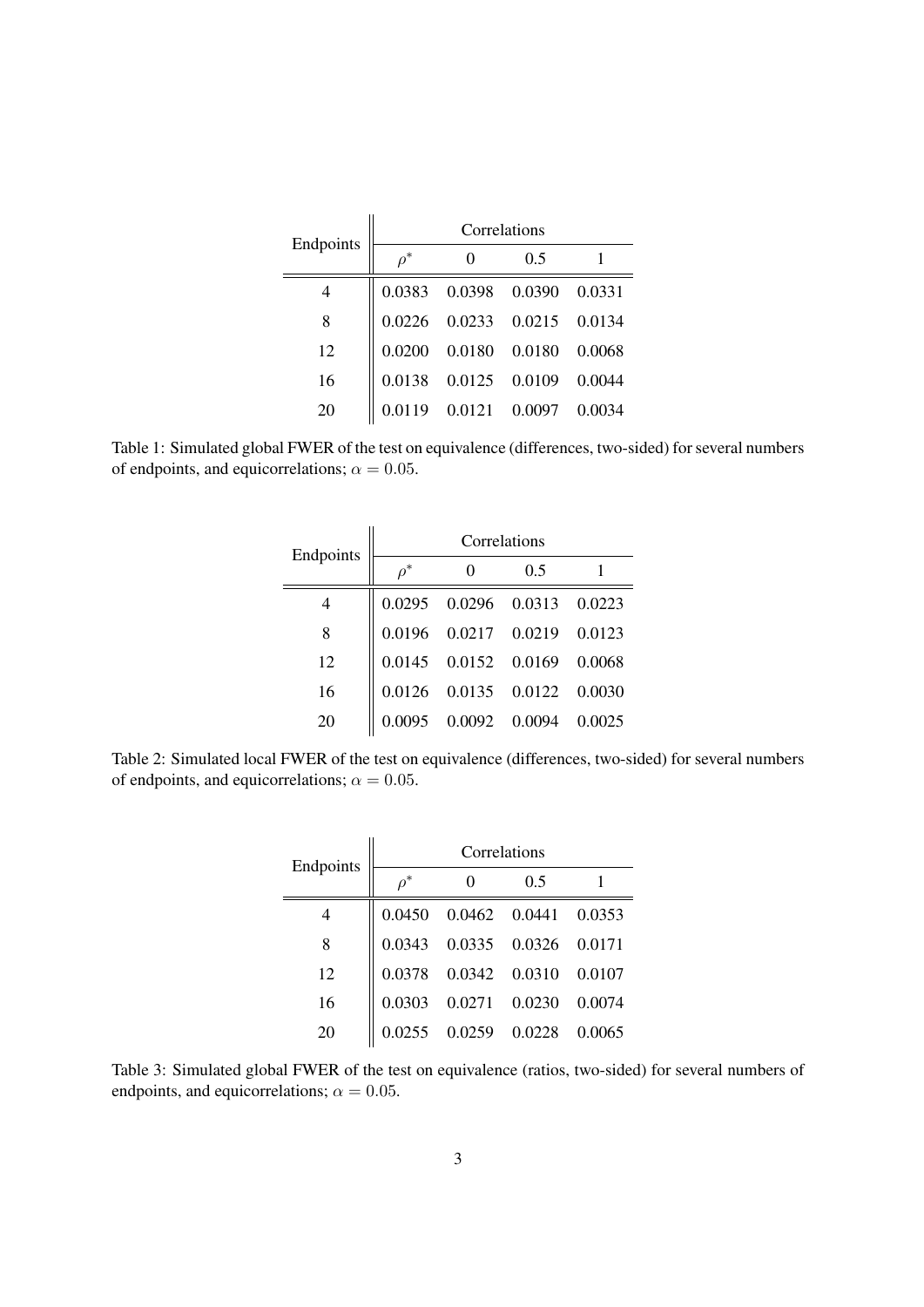| Endpoints | Correlations |                      |                                     |        |  |
|-----------|--------------|----------------------|-------------------------------------|--------|--|
|           | $o^*$        |                      | 0.5                                 |        |  |
| 4         |              | 0.0383 0.0398 0.0390 |                                     | 0.0331 |  |
| 8         |              |                      | $0.0226$ $0.0233$ $0.0215$ $0.0134$ |        |  |
| 12        | 0.0200       | 0.0180 0.0180        |                                     | 0.0068 |  |
| 16        | 0.0138       | 0.0125 0.0109        |                                     | 0.0044 |  |
| 20        | 19           | 0.0121 0.0097        |                                     | 0.0034 |  |

Table 1: Simulated global FWER of the test on equivalence (differences, two-sided) for several numbers of endpoints, and equicorrelations;  $\alpha = 0.05$ .

| Endpoints | Correlations |                                                 |     |        |
|-----------|--------------|-------------------------------------------------|-----|--------|
|           | $\rho^*$     | $\Omega$                                        | 0.5 |        |
| 4         |              | $0.0295 \quad 0.0296 \quad 0.0313 \quad 0.0223$ |     |        |
| 8         |              | $0.0196$ $0.0217$ $0.0219$ $0.0123$             |     |        |
| 12        |              | $0.0145 \quad 0.0152 \quad 0.0169 \quad 0.0068$ |     |        |
| 16        |              | $0.0126 \quad 0.0135 \quad 0.0122 \quad 0.0030$ |     |        |
| 20        |              | $0.0095$ 0.0092 0.0094                          |     | 0.0025 |

Table 2: Simulated local FWER of the test on equivalence (differences, two-sided) for several numbers of endpoints, and equicorrelations;  $\alpha = 0.05$ .

|           | Correlations |                                |               |        |  |
|-----------|--------------|--------------------------------|---------------|--------|--|
| Endpoints | $\rho^*$     | 0                              | 0.5           |        |  |
| 4         |              | 0.0450  0.0462  0.0441  0.0353 |               |        |  |
| 8         | 0.0343       | 0.0335 0.0326 0.0171           |               |        |  |
| 12        |              | $0.0378$ $0.0342$ $0.0310$     |               | 0.0107 |  |
| 16        | 0.0303       | 0.0271 0.0230                  |               | 0.0074 |  |
| 20        |              |                                | 0.0259 0.0228 | 0.0065 |  |

Table 3: Simulated global FWER of the test on equivalence (ratios, two-sided) for several numbers of endpoints, and equicorrelations;  $\alpha = 0.05$ .